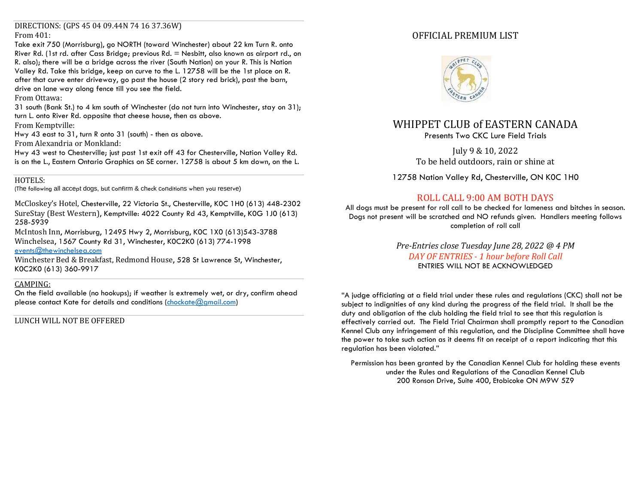#### DIRECTIONS: (GPS 45 04 09.44N 74 16 37.36W) From 401:

Take exit 750 (Morrisburg), go NORTH (toward Winchester) about 22 km Turn R. onto River Rd. (1st rd. after Cass Bridge; previous Rd. = Nesbitt, also known as airport rd., on R. also); there will be a bridge across the river (South Nation) on your R. This is Nation Valley Rd. Take this bridge, keep on curve to the L. 12758 will be the 1st place on R. after that curve enter driveway, go past the house (2 story red brick), past the barn, drive on lane way along fence till you see the field.

#### From Ottawa:

31 south (Bank St.) to 4 km south of Winchester (do not turn into Winchester, stay on 31); turn L. onto River Rd. opposite that cheese house, then as above.

From Kemptville:

Hwy 43 east to 31, turn R onto 31 (south) - then as above.

From Alexandria or Monkland:

Hwy 43 west to Chesterville; just past 1st exit off 43 for Chesterville, Nation Valley Rd. is on the L., Eastern Ontario Graphics on SE corner. 12758 is about 5 km down, on the L.

# HOTELS:

(The following all accept dogs, but confirm & check conditions when you reserve)

McCloskey's Hotel, Chesterville, 22 Victoria St., Chesterville, K0C 1H0 (613) 448-2302 SureStay (Best Western), Kemptville: 4022 County Rd 43, Kemptville, K0G 1J0 (613) 258-5939

McIntosh Inn, Morrisburg, 12495 Hwy 2, Morrisburg, K0C 1X0 (613)543-3788 Winchelsea, 1567 County Rd 31, Winchester, K0C2K0 (613) 774-1998

[events@thewinchelsea.com](mailto:events@thewinchelsea.com)

Winchester Bed & Breakfast, Redmond House, 528 St Lawrence St, Winchester, K0C2K0 (613) 360-9917

### CAMPING:

On the field available (no hookups); if weather is extremely wet, or dry, confirm ahead please contact Kate for details and conditions [\(chockate@gmail.com\)](mailto:chockate@gmail.com)

LUNCH WILL NOT BE OFFERED

# OFFICIAL PREMIUM LIST



# WHIPPET CLUB of EASTERN CANADA

Presents Two CKC Lure Field Trials

July 9 & 10, 2022 To be held outdoors, rain or shine at

12758 Nation Valley Rd, Chesterville, ON K0C 1H0

# ROLL CALL 9:00 AM BOTH DAYS

All dogs must be present for roll call to be checked for lameness and bitches in season. Dogs not present will be scratched and NO refunds given. Handlers meeting follows completion of roll call

> *Pre-Entries close Tuesday June 28, 2022 @ 4 PM DAY OF ENTRIES - 1 hour before Roll Call* ENTRIES WILL NOT BE ACKNOWLEDGED

"A judge officiating at a field trial under these rules and regulations (CKC) shall not be subject to indignities of any kind during the progress of the field trial. It shall be the duty and obligation of the club holding the field trial to see that this regulation is effectively carried out. The Field Trial Chairman shall promptly report to the Canadian Kennel Club any infringement of this regulation, and the Discipline Committee shall have the power to take such action as it deems fit on receipt of a report indicating that this regulation has been violated."

Permission has been granted by the Canadian Kennel Club for holding these events under the Rules and Regulations of the Canadian Kennel Club 200 Ronson Drive, Suite 400, Etobicoke ON M9W 5Z9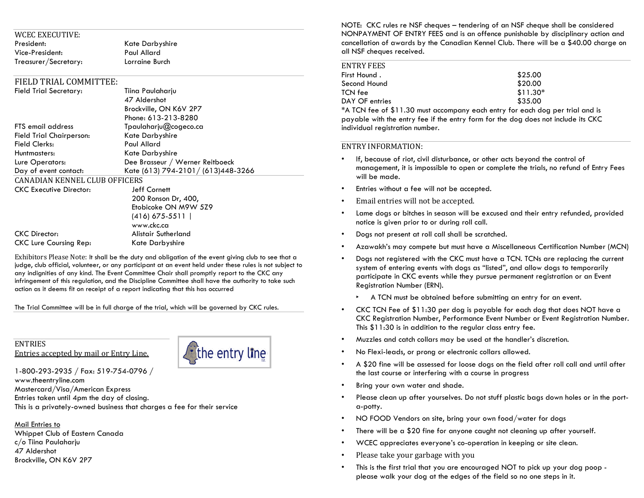| WCEC EXECUTIVE:      |                |
|----------------------|----------------|
| President:           | Kate Darbyshi  |
| Vice-President:      | Paul Allard    |
| Treasurer/Secretary: | Lorraine Burch |

Kate Darbyshire Paul Allard

#### FIELD TRIAL COMMITTEE:

| <b>Field Trial Secretary:</b>        | Tiina Paulaharju                    |
|--------------------------------------|-------------------------------------|
|                                      | 47 Aldershot                        |
|                                      | Brockville, ON K6V 2P7              |
|                                      | Phone: 613-213-8280                 |
| <b>FTS</b> email address             | Tpaulaharju@cogeco.ca               |
| Field Trial Chairperson:             | Kate Darbyshire                     |
| Field Clerks:                        | Paul Allard                         |
| Huntmasters:                         | Kate Darbyshire                     |
| Lure Operators:                      | Dee Brasseur / Werner Reitboeck     |
| Day of event contact:                | Kate (613) 794-2101 / (613)448-3266 |
| <b>CANADIAN KENNEL CLUB OFFICERS</b> |                                     |
| <b>CKC Executive Director:</b>       | Jeff Cornett                        |
|                                      | 200 Ronson Dr, 400,                 |
|                                      | Etobicoke ON M9W 5Z9                |
|                                      | $(416)$ 675-5511                    |

CKC Director: Alistair Sutherland CKC Lure Coursing Rep: Kate Darbyshire

Exhibitors Please Note: It shall be the duty and obligation of the event giving club to see that a judge, club official, volunteer, or any participant at an event held under these rules is not subject to any indignities of any kind. The Event Committee Chair shall promptly report to the CKC any infringement of this regulation, and the Discipline Committee shall have the authority to take such action as it deems fit on receipt of a report indicating that this has occurred

www.ckc.ca

The Trial Committee will be in full charge of the trial, which will be governed by CKC rules.

## **ENTRIES** Entries accepted by mail or Entry Line.



1-800-293-2935 / Fax: 519-754-0796 / www.theentryline.com Mastercard/Visa/American Express Entries taken until 4pm the day of closing. This is a privately-owned business that charges a fee for their service

Mail Entries to Whippet Club of Eastern Canada c/o Tiina Paulaharju 47 Aldershot Brockville, ON K6V 2P7

NOTE: CKC rules re NSF cheques – tendering of an NSF cheque shall be considered NONPAYMENT OF ENTRY FEES and is an offence punishable by disciplinary action and cancellation of awards by the Canadian Kennel Club. There will be a \$40.00 charge on all NSF cheques received.

| ENTRY FEES     |           |
|----------------|-----------|
| First Hound .  | \$25.00   |
| Second Hound   | \$20.00   |
| TCN fee        | $$11.30*$ |
| DAY OF entries | \$35.00   |

\*A TCN fee of \$11.30 must accompany each entry for each dog per trial and is payable with the entry fee if the entry form for the dog does not include its CKC individual reaistration number.

#### ENTRY INFORMATION:

- If, because of riot, civil disturbance, or other acts beyond the control of management, it is impossible to open or complete the trials, no refund of Entry Fees will be made.
- Entries without a fee will not be accepted.
- Email entries will not be accepted.
- Lame dogs or bitches in season will be excused and their entry refunded, provided notice is given prior to or during roll call.
- Dogs not present at roll call shall be scratched.
- Azawakh's may compete but must have a Miscellaneous Certification Number (MCN)
- Dogs not registered with the CKC must have a TCN. TCNs are replacing the current system of entering events with dogs as "listed", and allow dogs to temporarily participate in CKC events while they pursue permanent registration or an Event Registration Number (ERN).
	- ‣ A TCN must be obtained before submitting an entry for an event.
- CKC TCN Fee of \$11:30 per dog is payable for each dog that does NOT have a CKC Registration Number, Performance Event Number or Event Registration Number. This \$11:30 is in addition to the regular class entry fee.
- Muzzles and catch collars may be used at the handler's discretion.
- No Flexi-leads, or prong or electronic collars allowed.
- A \$20 fine will be assessed for loose dogs on the field after roll call and until after the last course or interfering with a course in progress
- Bring your own water and shade.
- Please clean up after yourselves. Do not stuff plastic bags down holes or in the porta-potty.
- NO FOOD Vendors on site, bring your own food/water for dogs
- There will be a \$20 fine for anyone caught not cleaning up after yourself.
- WCEC appreciates everyone's co-operation in keeping or site clean.
- Please take your garbage with you
- This is the first trial that you are encouraged NOT to pick up your dog poop please walk your dog at the edges of the field so no one steps in it.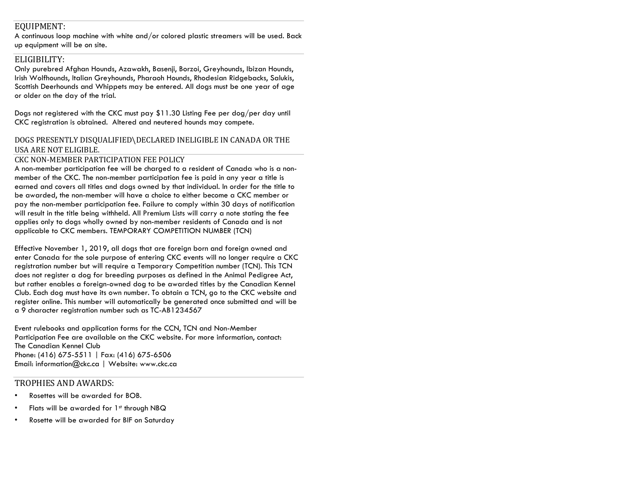# EQUIPMENT:

A continuous loop machine with white and/or colored plastic streamers will be used. Back up equipment will be on site.

### ELIGIBILITY:

Only purebred Afghan Hounds, Azawakh, Basenji, Borzoi, Greyhounds, Ibizan Hounds, Irish Wolfhounds, Italian Greyhounds, Pharaoh Hounds, Rhodesian Ridgebacks, Salukis, Scottish Deerhounds and Whippets may be entered. All dogs must be one year of age or older on the day of the trial.

Dogs not registered with the CKC must pay \$11.30 Listing Fee per dog/per day until CKC registration is obtained. Altered and neutered hounds may compete.

## DOGS PRESENTLY DISQUALIFIED\DECLARED INELIGIBLE IN CANADA OR THE USA ARE NOT ELIGIBLE.

### CKC NON-MEMBER PARTICIPATION FEE POLICY

A non-member participation fee will be charged to a resident of Canada who is a nonmember of the CKC. The non-member participation fee is paid in any year a title is earned and covers all titles and dogs owned by that individual. In order for the title to be awarded, the non-member will have a choice to either become a CKC member or pay the non-member participation fee. Failure to comply within 30 days of notification will result in the title being withheld. All Premium Lists will carry a note stating the fee applies only to dogs wholly owned by non-member residents of Canada and is not applicable to CKC members. TEMPORARY COMPETITION NUMBER (TCN)

Effective November 1, 2019, all dogs that are foreign born and foreign owned and enter Canada for the sole purpose of entering CKC events will no longer require a CKC registration number but will require a Temporary Competition number (TCN). This TCN does not register a dog for breeding purposes as defined in the Animal Pedigree Act, but rather enables a foreign-owned dog to be awarded titles by the Canadian Kennel Club. Each dog must have its own number. To obtain a TCN, go to the CKC website and register online. This number will automatically be generated once submitted and will be a 9 character registration number such as TC-AB1234567

Event rulebooks and application forms for the CCN, TCN and Non-Member Participation Fee are available on the CKC website. For more information, contact: The Canadian Kennel Club Phone: (416) 675-5511 | Fax: (416) 675-6506 Email: [information@ckc.ca](mailto:information@ckc.ca) | Website: [www.ckc.ca](http://www.ckc.ca/)

# TROPHIES AND AWARDS:

- Rosettes will be awarded for BOB.
- Flats will be awarded for 1st through NBQ
- Rosette will be awarded for BIF on Saturday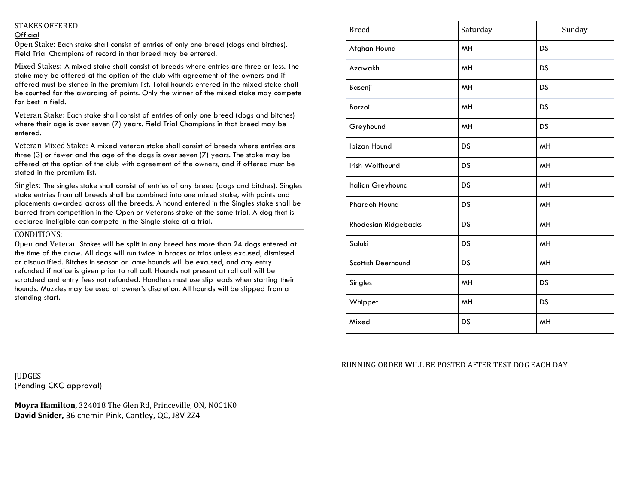## STAKES OFFERED **Official**

Open Stake: Each stake shall consist of entries of only one breed (dogs and bitches). Field Trial Champions of record in that breed may be entered.

Mixed Stakes: A mixed stake shall consist of breeds where entries are three or less. The stake may be offered at the option of the club with agreement of the owners and if offered must be stated in the premium list. Total hounds entered in the mixed stake shall be counted for the awarding of points. Only the winner of the mixed stake may compete for best in field.

Veteran Stake: Each stake shall consist of entries of only one breed (dogs and bitches) where their age is over seven (7) years. Field Trial Champions in that breed may be entered.

Veteran Mixed Stake: A mixed veteran stake shall consist of breeds where entries are three (3) or fewer and the age of the dogs is over seven (7) years. The stake may be offered at the option of the club with agreement of the owners, and if offered must be stated in the premium list.

Singles: The singles stake shall consist of entries of any breed (dogs and bitches). Singles stake entries from all breeds shall be combined into one mixed stake, with points and placements awarded across all the breeds. A hound entered in the Singles stake shall be barred from competition in the Open or Veterans stake at the same trial. A dog that is declared ineligible can compete in the Single stake at a trial.

#### CONDITIONS:

Open and Veteran Stakes will be split in any breed has more than 24 dogs entered at the time of the draw. All dogs will run twice in braces or trios unless excused, dismissed or disqualified. Bitches in season or lame hounds will be excused, and any entry refunded if notice is given prior to roll call. Hounds not present at roll call will be scratched and entry fees not refunded. Handlers must use slip leads when starting their hounds. Muzzles may be used at owner's discretion. All hounds will be slipped from a standing start.

| <b>Breed</b>                | Saturday  | Sunday    |
|-----------------------------|-----------|-----------|
| Afghan Hound                | MH        | DS        |
| Azawakh                     | MH        | <b>DS</b> |
| Basenji                     | <b>MH</b> | <b>DS</b> |
| Borzoi                      | MH        | <b>DS</b> |
| Greyhound                   | MH        | <b>DS</b> |
| Ibizan Hound                | <b>DS</b> | MH        |
| Irish Wolfhound             | DS        | MH        |
| Italian Greyhound           | DS        | MH        |
| Pharaoh Hound               | DS        | MH        |
| <b>Rhodesian Ridgebacks</b> | DS        | MH        |
| Saluki                      | DS        | MH        |
| Scottish Deerhound          | DS        | MH        |
| Singles                     | <b>MH</b> | <b>DS</b> |
| Whippet                     | MH        | <b>DS</b> |
| Mixed                       | DS        | MH        |

RUNNING ORDER WILL BE POSTED AFTER TEST DOG EACH DAY

**IUDGES** (Pending CKC approval)

**Moyra Hamilton,** 324018 The Glen Rd, Princeville, ON, N0C1K0 **David Snider,** 36 chemin Pink, Cantley, QC, J8V 2Z4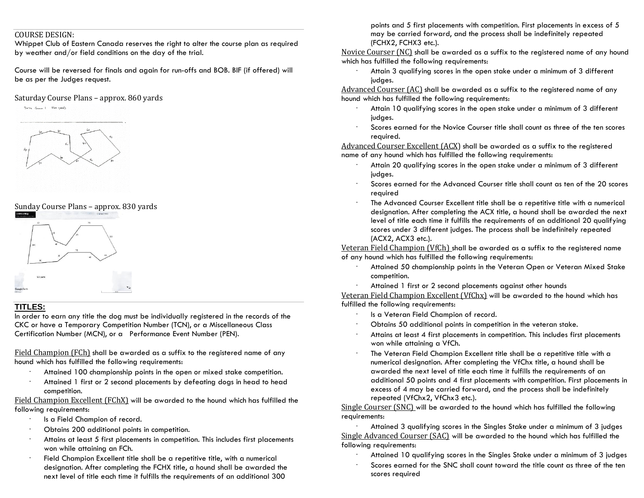#### COURSE DESIGN:

Whippet Club of Eastern Canada reserves the right to alter the course plan as required by weather and/or field conditions on the day of the trial.

Course will be reversed for finals and again for run-offs and BOB. BIF (if offered) will be as per the Judges request.

### Saturday Course Plans – approx. 860 yards

Zorr Counce 1 - Glo yards

# Sunday Course Plans – approx. 830 yards



# **TITLES:**

In order to earn any title the dog must be individually registered in the records of the CKC or have a Temporary Competition Number (TCN), or a Miscellaneous Class Certification Number (MCN), or a Performance Event Number (PEN).

Field Champion (FCh) shall be awarded as a suffix to the registered name of any hound which has fulfilled the following requirements:

- Attained 100 championship points in the open or mixed stake competition.
- · Attained 1 first or 2 second placements by defeating dogs in head to head competition.

Field Champion Excellent (FChX) will be awarded to the hound which has fulfilled the following requirements:

- Is a Field Champion of record.
- · Obtains 200 additional points in competition.
- Attains at least 5 first placements in competition. This includes first placements won while attaining an FCh.
- · Field Champion Excellent title shall be a repetitive title, with a numerical designation. After completing the FCHX title, a hound shall be awarded the next level of title each time it fulfills the requirements of an additional 300

points and 5 first placements with competition. First placements in excess of 5 may be carried forward, and the process shall be indefinitely repeated (FCHX2, FCHX3 etc.).

Novice Courser (NC) shall be awarded as a suffix to the registered name of any hound which has fulfilled the following requirements:

Attain 3 qualifying scores in the open stake under a minimum of 3 different judges.

Advanced Courser (AC) shall be awarded as a suffix to the registered name of any hound which has fulfilled the following requirements:

- Attain 10 qualifying scores in the open stake under a minimum of 3 different judges.
- · Scores earned for the Novice Courser title shall count as three of the ten scores required.

Advanced Courser Excellent (ACX) shall be awarded as a suffix to the registered name of any hound which has fulfilled the following requirements:

- Attain 20 qualifying scores in the open stake under a minimum of 3 different judges.
- · Scores earned for the Advanced Courser title shall count as ten of the 20 scores required
- · The Advanced Courser Excellent title shall be a repetitive title with a numerical designation. After completing the ACX title, a hound shall be awarded the next level of title each time it fulfills the requirements of an additional 20 qualifying scores under 3 different judges. The process shall be indefinitely repeated (ACX2, ACX3 etc.).

Veteran Field Champion (VfCh) shall be awarded as a suffix to the registered name of any hound which has fulfilled the following requirements:

- Attained 50 championship points in the Veteran Open or Veteran Mixed Stake competition.
- Attained 1 first or 2 second placements against other hounds

Veteran Field Champion Excellent (VfChx) will be awarded to the hound which has fulfilled the following requirements:

- Is a Veteran Field Champion of record.
- · Obtains 50 additional points in competition in the veteran stake.
- Attains at least 4 first placements in competition. This includes first placements won while attaining a VfCh.
- · The Veteran Field Champion Excellent title shall be a repetitive title with a numerical designation. After completing the VfChx title, a hound shall be awarded the next level of title each time it fulfills the requirements of an additional 50 points and 4 first placements with competition. First placements in excess of 4 may be carried forward, and the process shall be indefinitely repeated (VfChx2, VfChx3 etc.).

Single Courser (SNC) will be awarded to the hound which has fulfilled the following requirements:

Attained 3 qualifying scores in the Singles Stake under a minimum of 3 judges Single Advanced Courser (SAC) will be awarded to the hound which has fulfilled the following requirements:

- · Attained 10 qualifying scores in the Singles Stake under a minimum of 3 judges
- · Scores earned for the SNC shall count toward the title count as three of the ten scores required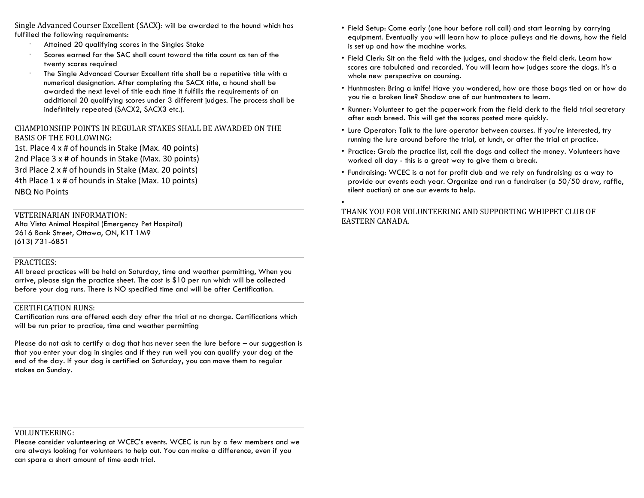Single Advanced Courser Excellent (SACX): will be awarded to the hound which has fulfilled the following requirements:

- · Attained 20 qualifying scores in the Singles Stake
- Scores earned for the SAC shall count toward the title count as ten of the twenty scores required
- · The Single Advanced Courser Excellent title shall be a repetitive title with a numerical designation. After completing the SACX title, a hound shall be awarded the next level of title each time it fulfills the requirements of an additional 20 qualifying scores under 3 different judges. The process shall be indefinitely repeated (SACX2, SACX3 etc.).

CHAMPIONSHIP POINTS IN REGULAR STAKES SHALL BE AWARDED ON THE BASIS OF THE FOLLOWING:

1st. Place 4 x # of hounds in Stake (Max. 40 points) 2nd Place 3 x # of hounds in Stake (Max. 30 points) 3rd Place 2 x # of hounds in Stake (Max. 20 points) 4th Place 1 x # of hounds in Stake (Max. 10 points) NBQ No Points

## VETERINARIAN INFORMATION:

Alta Vista Animal Hospital (Emergency Pet Hospital) 2616 Bank Street, Ottawa, ON, K1T 1M9 (613) 731-6851

#### PRACTICES:

All breed practices will be held on Saturday, time and weather permitting, When you arrive, please sign the practice sheet. The cost is \$10 per run which will be collected before your dog runs. There is NO specified time and will be after Certification.

#### CERTIFICATION RUNS:

Certification runs are offered each day after the trial at no charge. Certifications which will be run prior to practice, time and weather permitting

Please do not ask to certify a dog that has never seen the lure before – our suggestion is that you enter your dog in singles and if they run well you can qualify your dog at the end of the day. If your dog is certified on Saturday, you can move them to regular stakes on Sunday.

- Field Setup: Come early (one hour before roll call) and start learning by carrying equipment. Eventually you will learn how to place pulleys and tie downs, how the field is set up and how the machine works.
- Field Clerk: Sit on the field with the judges, and shadow the field clerk. Learn how scores are tabulated and recorded. You will learn how judges score the dogs. It's a whole new perspective on coursing.
- Huntmaster: Bring a knife! Have you wondered, how are those bags tied on or how do you tie a broken line? Shadow one of our huntmasters to learn.
- Runner: Volunteer to get the paperwork from the field clerk to the field trial secretary after each breed. This will get the scores posted more quickly.
- Lure Operator: Talk to the lure operator between courses. If you're interested, try running the lure around before the trial, at lunch, or after the trial at practice.
- Practice: Grab the practice list, call the dogs and collect the money. Volunteers have worked all day - this is a great way to give them a break.
- Fundraising: WCEC is a not for profit club and we rely on fundraising as a way to provide our events each year. Organize and run a fundraiser (a 50/50 draw, raffle, silent auction) at one our events to help.

THANK YOU FOR VOLUNTEERING AND SUPPORTING WHIPPET CLUB OF EASTERN CANADA.

•

### VOLUNTEERING:

Please consider volunteering at WCEC's events. WCEC is run by a few members and we are always looking for volunteers to help out. You can make a difference, even if you can spare a short amount of time each trial.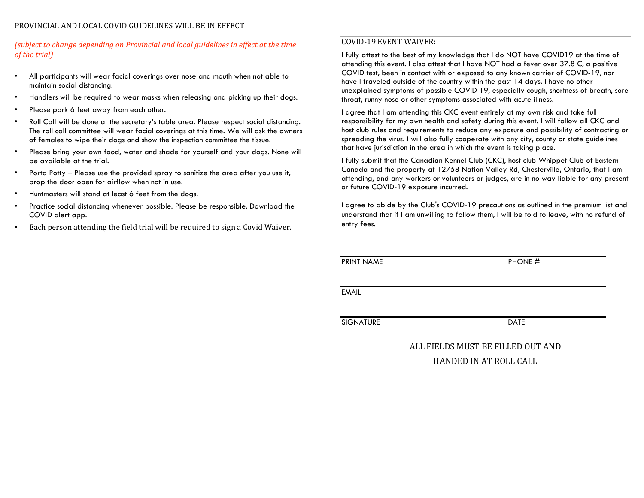# *(subject to change depending on Provincial and local guidelines in effect at the time of the trial)*

- All participants will wear facial coverings over nose and mouth when not able to maintain social distancing.
- Handlers will be required to wear masks when releasing and picking up their dogs.
- Please park 6 feet away from each other.
- Roll Call will be done at the secretary's table area. Please respect social distancing. The roll call committee will wear facial coverings at this time. We will ask the owners of females to wipe their dogs and show the inspection committee the tissue.
- Please bring your own food, water and shade for yourself and your dogs. None will be available at the trial.
- Porta Potty Please use the provided spray to sanitize the area after you use it, prop the door open for airflow when not in use.
- Huntmasters will stand at least 6 feet from the dogs.
- Practice social distancing whenever possible. Please be responsible. Download the COVID alert app.
- Each person attending the field trial will be required to sign a Covid Waiver.

## COVID-19 EVENT WAIVER:

I fully attest to the best of my knowledge that I do NOT have COVID19 at the time of attending this event. I also attest that I have NOT had a fever over 37.8 C, a positive COVID test, been in contact with or exposed to any known carrier of COVID-19, nor have I traveled outside of the country within the past 14 days. I have no other unexplained symptoms of possible COVID 19, especially cough, shortness of breath, sore throat, runny nose or other symptoms associated with acute illness.

I agree that I am attending this CKC event entirely at my own risk and take full responsibility for my own health and safety during this event. I will follow all CKC and host club rules and requirements to reduce any exposure and possibility of contracting or spreading the virus. I will also fully cooperate with any city, county or state guidelines that have jurisdiction in the area in which the event is taking place.

I fully submit that the Canadian Kennel Club (CKC), host club Whippet Club of Eastern Canada and the property at 12758 Nation Valley Rd, Chesterville, Ontario, that I am attending, and any workers or volunteers or judges, are in no way liable for any present or future COVID-19 exposure incurred.

I agree to abide by the Club's COVID-19 precautions as outlined in the premium list and understand that if I am unwilling to follow them, I will be told to leave, with no refund of entry fees.

PRINT NAME PHONE #

EMAIL

SIGNATURE DATE

ALL FIELDS MUST BE FILLED OUT AND HANDED IN AT ROLL CALL